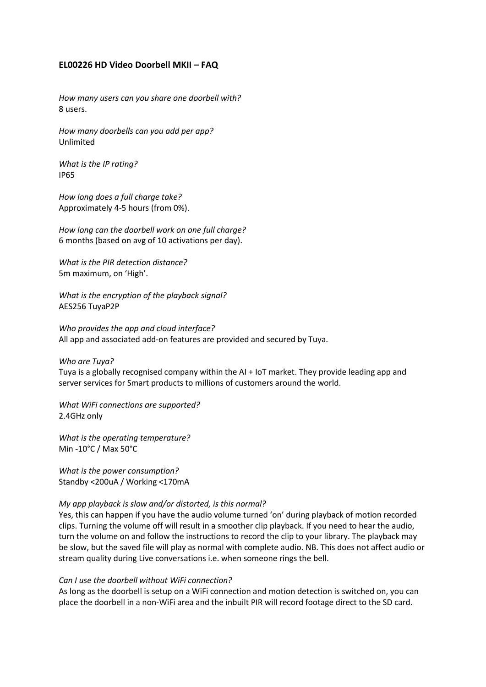### **EL00226 HD Video Doorbell MKII – FAQ**

*How many users can you share one doorbell with?* 8 users.

*How many doorbells can you add per app?* Unlimited

*What is the IP rating?* IP65

*How long does a full charge take?*  Approximately 4-5 hours (from 0%).

*How long can the doorbell work on one full charge?* 6 months (based on avg of 10 activations per day).

*What is the PIR detection distance?* 5m maximum, on 'High'.

*What is the encryption of the playback signal?* AES256 TuyaP2P

*Who provides the app and cloud interface?* All app and associated add-on features are provided and secured by Tuya.

*Who are Tuya?*

Tuya is a globally recognised company within the AI + IoT market. They provide leading app and server services for Smart products to millions of customers around the world.

*What WiFi connections are supported?* 2.4GHz only

*What is the operating temperature?*  Min -10°C / Max 50°C

*What is the power consumption?* Standby <200uA / Working <170mA

#### *My app playback is slow and/or distorted, is this normal?*

Yes, this can happen if you have the audio volume turned 'on' during playback of motion recorded clips. Turning the volume off will result in a smoother clip playback. If you need to hear the audio, turn the volume on and follow the instructions to record the clip to your library. The playback may be slow, but the saved file will play as normal with complete audio. NB. This does not affect audio or stream quality during Live conversations i.e. when someone rings the bell.

#### *Can I use the doorbell without WiFi connection?*

As long as the doorbell is setup on a WiFi connection and motion detection is switched on, you can place the doorbell in a non-WiFi area and the inbuilt PIR will record footage direct to the SD card.